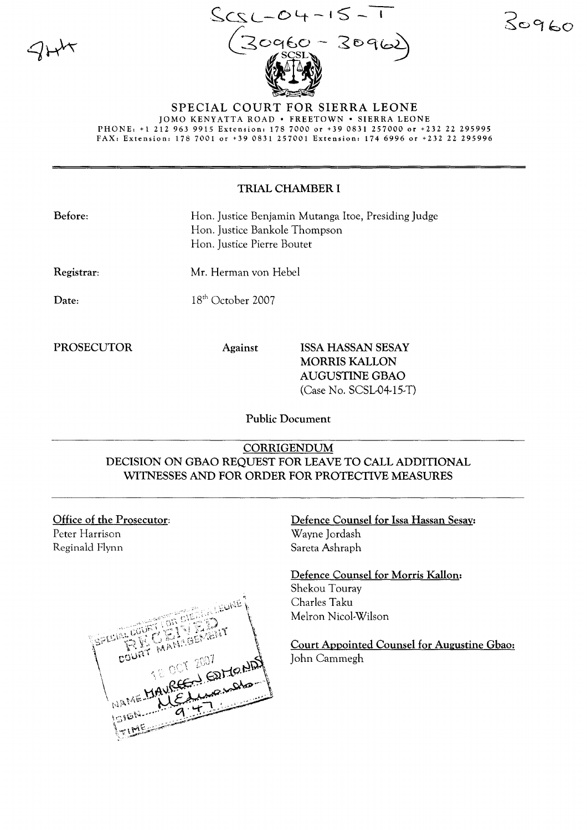

 $ScsL-04-15-1$   $30960$  $(30960 - 30962)$ 

#### SPECIAL COURT FOR SIERRA LEONE JOMO KENYATTA ROAD · FREETOWN · SIERRA LEONE PHONE: +1 212 963 9915 Extension: 178 7000 or +39 0831 257000 or +232 22 295995 FAX, Extension: 1787001 or +39 0831257001 Extension: 1746996 or +232 22 295996

# TRIAL CHAMBER 1

| Before: | Hon. Justice Benjamin Mutanga Itoe, Presiding Judge |
|---------|-----------------------------------------------------|
|         | Hon. Justice Bankole Thompson                       |
|         | Hon. Justice Pierre Boutet                          |

Registrar: Mr. Herman von Hebel

Date:

 $18<sup>th</sup>$  October 2007

PROSECUTOR Against ISSA HASSAN SESAY MORRIS KALLON AUGUSTINE GBAO (Case No. SCSL-04-15-T)

Public Document

# CORRIGENDUM DECISION ON GBAO REQUEST FOR LEAVE TO CALL ADDITIONAL WITNESSES AND FOR ORDER FOR PROTECTIVE MEASURES

Office of the Prosecutor: Peter Harrison Reginald Flynn



Defence Counsel for Issa Hassan Sesay: Wayne Jordash Sareta Ashraph

Defence Counsel for Morris Kallon: Shekou Touray Charles Taku Melron Nicol-Wilson

Court Appointed Counsel for Augustine Gbao: John Cammegh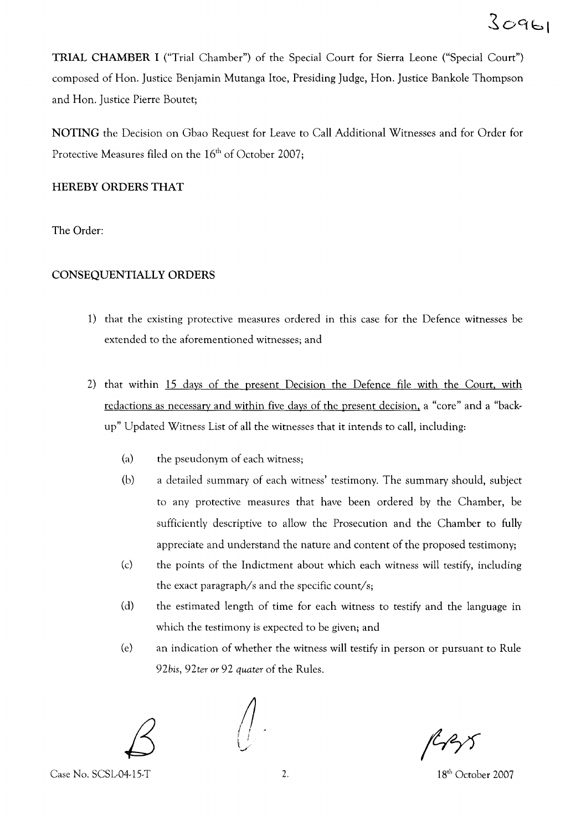TRIAL CHAMBER I ("Trial Chamber") of the Special Court for Sierra Leone ("Special Court") composed of Hon. Justice Benjamin Mutanga Itoe, Presiding Judge, Hon. Justice Bankole Thompson and Hon. Justice Pierre Boutet;

NOTING the Decision on Gbao Request for Leave to Call Additional Witnesses and for Order for Protective Measures filed on the  $16<sup>th</sup>$  of October 2007;

### HEREBY ORDERS THAT

The Order:

## CONSEQUENTIALLY ORDERS

- 1) that the existing protective measures ordered in this case for the Defence witnesses be extended to the aforementioned witnesses; and
- 2) that within 15 days of the present Decision the Defence file with the Court, with redactions as necessary and within five days of the present decision, a "core" and a "backup" Updated Witness List of all the witnesses that it intends to call, including:
	- (a) the pseudonym of each witness;
	- (b) a detailed summary of each witness' testimony. The summary should, subject to any protective measures that have been ordered by the Chamber, be sufficiently descriptive to allow the Prosecution and the Chamber to fully appreciate and understand the nature and content of the proposed testimony;
	- (c) the points of the Indictment about which each witness will testify, including the exact paragraph/s and the specific count/s;
	- (d) the estimated length of time for each witness to testify and the language in which the testimony is expected to be given; and
	- (e) an indication of whether the witness will testify in person or pursuant to Rule *92bis, 92ter* or 92 *quater* of the Rules.



Case No. SCSL-04-15-T 2. 2. 18<sup>th</sup> October 2007